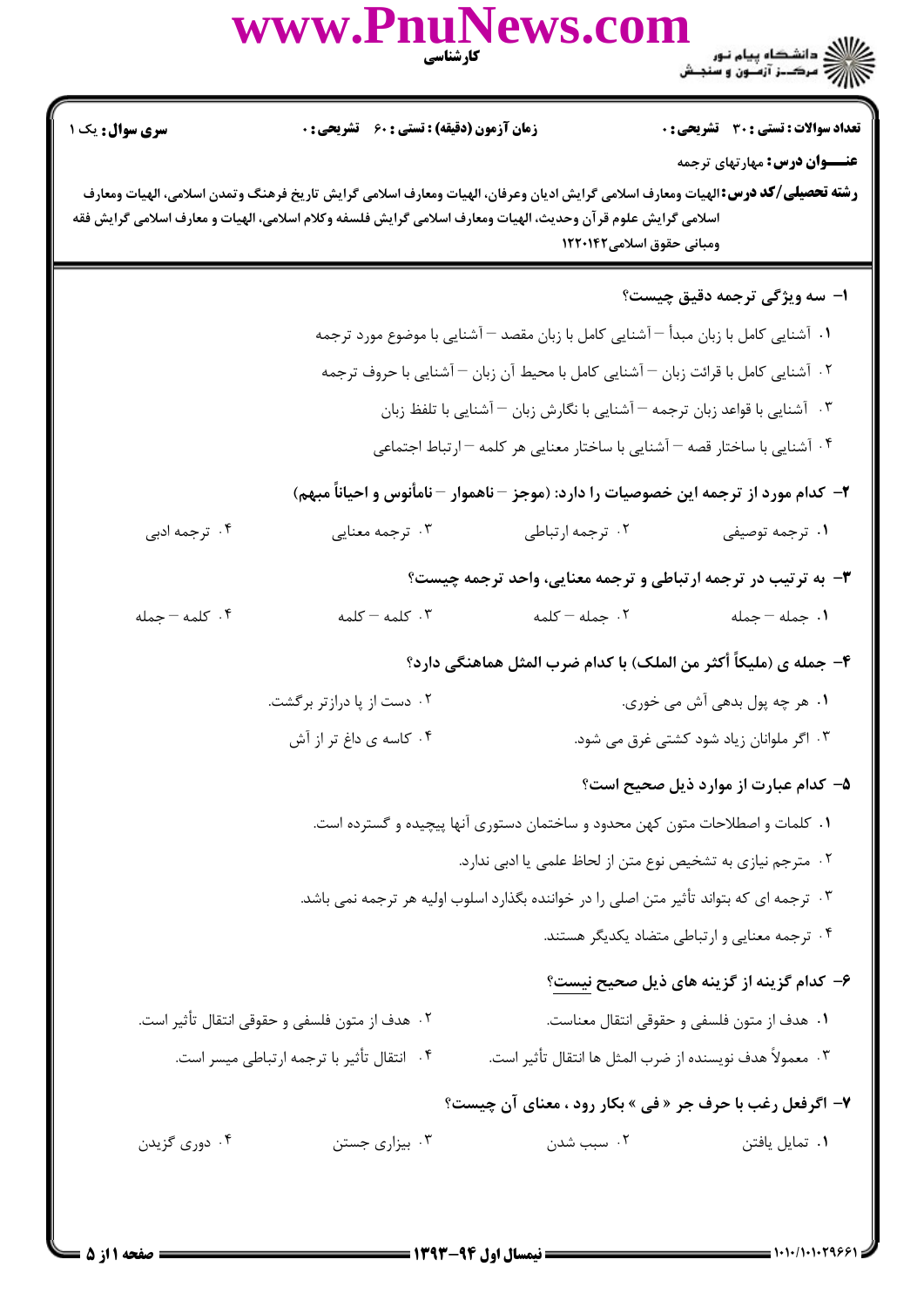|                                                                                                                                                                                                                                                                                     | WWW.FIIU.<br>كارشناسي                                                                 |                                                                                                           | ع الشکاه پیام نور<br>اگر دانشگاه پیام نور                                            |  |  |
|-------------------------------------------------------------------------------------------------------------------------------------------------------------------------------------------------------------------------------------------------------------------------------------|---------------------------------------------------------------------------------------|-----------------------------------------------------------------------------------------------------------|--------------------------------------------------------------------------------------|--|--|
| سری سوال: یک ۱                                                                                                                                                                                                                                                                      | <b>زمان آزمون (دقیقه) : تستی : 60 ٪ تشریحی : 0</b>                                    |                                                                                                           | <b>تعداد سوالات : تستی : 30 ٪ تشریحی : 0</b><br><b>عنــــوان درس:</b> مهارتهای ترجمه |  |  |
| <b>رشته تحصیلی/کد درس:</b> الهیات ومعارف اسلامی گرایش ادیان وعرفان، الهیات ومعارف اسلامی گرایش تاریخ فرهنگ وتمدن اسلامی، الهیات ومعارف<br>اسلامی گرایش علوم قرآن وحدیث، الهیات ومعارف اسلامی گرایش فلسفه وکلام اسلامی، الهیات و معارف اسلامی گرایش فقه<br>ومبانی حقوق اسلامی۱۲۲۰۱۴۲ |                                                                                       |                                                                                                           |                                                                                      |  |  |
|                                                                                                                                                                                                                                                                                     |                                                                                       |                                                                                                           | <b>ا- سه ویژگی ترجمه دقیق چیست؟</b>                                                  |  |  |
|                                                                                                                                                                                                                                                                                     |                                                                                       | ۰۱ آشنایی کامل با زبان مبدأ <sup>—</sup> آشنایی کامل با زبان مقصد <sup>—</sup> آشنایی با موضوع مورد ترجمه |                                                                                      |  |  |
| ۰۲ آشنایی کامل با قرائت زبان $-$ آشنایی کامل با محیط آن زبان $-$ آشنایی با حروف ترجمه                                                                                                                                                                                               |                                                                                       |                                                                                                           |                                                                                      |  |  |
| ۰۳ آشنایی با قواعد زبان ترجمه <sup>—</sup> آشنایی با نگارش زبان <sup>—</sup> آشنایی با تلفظ زبان                                                                                                                                                                                    |                                                                                       |                                                                                                           |                                                                                      |  |  |
|                                                                                                                                                                                                                                                                                     |                                                                                       | ۰۴ آشنایی با ساختار قصه $-$ آشنایی با ساختار معنایی هر کلمه $-$ ارتباط اجتماعی                            |                                                                                      |  |  |
|                                                                                                                                                                                                                                                                                     | ۲–  کدام مورد از ترجمه این خصوصیات را دارد: (موجز – ناهموار – نامأنوس و احیاناً مبهم) |                                                                                                           |                                                                                      |  |  |
| ۰۴ ترجمه ادبی                                                                                                                                                                                                                                                                       | ۰۳ ترجمه معنایی                                                                       | ۰۲ ترجمه ارتباطي                                                                                          | ۰۱ ترجمه توصيفي                                                                      |  |  |
|                                                                                                                                                                                                                                                                                     |                                                                                       |                                                                                                           | ۳- به ترتیب در ترجمه ارتباطی و ترجمه معنایی، واحد ترجمه چیست؟                        |  |  |
| ۰۴ کلمه - جمله                                                                                                                                                                                                                                                                      | $-$ كلمه $-$ كلمه                                                                     | ۰۲ جمله - کلمه                                                                                            | ٠١. جمله - جمله                                                                      |  |  |
|                                                                                                                                                                                                                                                                                     |                                                                                       |                                                                                                           | ۴– جمله ی (ملیکاً أکثر من الملک) با کدام ضرب المثل هماهنگی دارد؟                     |  |  |
|                                                                                                                                                                                                                                                                                     | ۰۲ دست از پا درازتر برگشت.                                                            |                                                                                                           | ۰۱ هر چه پول بدهی آش می خوری.                                                        |  |  |
|                                                                                                                                                                                                                                                                                     | ۰۴ کاسه ی داغ تر از آش                                                                |                                                                                                           | ۰۳ اگر ملوانان زیاد شود کشتی غرق می شود.                                             |  |  |
|                                                                                                                                                                                                                                                                                     |                                                                                       |                                                                                                           | ۵– کدام عبارت از موارد ذیل صحیح است؟                                                 |  |  |
|                                                                                                                                                                                                                                                                                     |                                                                                       | ۰۱ کلمات و اصطلاحات متون کهن محدود و ساختمان دستوری آنها پیچیده و گسترده است.                             |                                                                                      |  |  |
|                                                                                                                                                                                                                                                                                     |                                                                                       | ۰۲ مترجم نیازی به تشخیص نوع متن از لحاظ علمی یا ادبی ندارد.                                               |                                                                                      |  |  |
|                                                                                                                                                                                                                                                                                     |                                                                                       | ۰۳ ترجمه ای که بتواند تأثیر متن اصلی را در خواننده بگذارد اسلوب اولیه هر ترجمه نمی باشد.                  |                                                                                      |  |  |
|                                                                                                                                                                                                                                                                                     |                                                                                       |                                                                                                           | ۰۴ ترجمه معنایی و ارتباطی متضاد یکدیگر هستند.                                        |  |  |
|                                                                                                                                                                                                                                                                                     |                                                                                       |                                                                                                           | ۶– کدام گزینه از گزینه های ذیل صحیح نیست؟                                            |  |  |
|                                                                                                                                                                                                                                                                                     | ۰۲ هدف از متون فلسفی و حقوقی انتقال تأثیر است.                                        |                                                                                                           | ٠١ هدف از متون فلسفي و حقوقي انتقال معناست.                                          |  |  |
|                                                                                                                                                                                                                                                                                     | ۰۴ انتقال تأثير با ترجمه ارتباطي ميسر است.                                            | ٠٣ معمولاً هدف نويسنده از ضرب المثل ها انتقال تأثير است.                                                  |                                                                                      |  |  |
|                                                                                                                                                                                                                                                                                     |                                                                                       |                                                                                                           | ۷- اگرفعل رغب با حرف جر « فی » بکار رود ، معنای آن چیست؟                             |  |  |
| ۰۴ دوری گزیدن                                                                                                                                                                                                                                                                       | ۰۳ بیزاری جستن                                                                        | ۰۲ سبب شدن                                                                                                | ۰۱ تمایل یافتن                                                                       |  |  |
|                                                                                                                                                                                                                                                                                     |                                                                                       |                                                                                                           |                                                                                      |  |  |

 $\mathbf{D}_{\text{max}}\mathbf{N}_{\text{max}}$ 

 $\sim$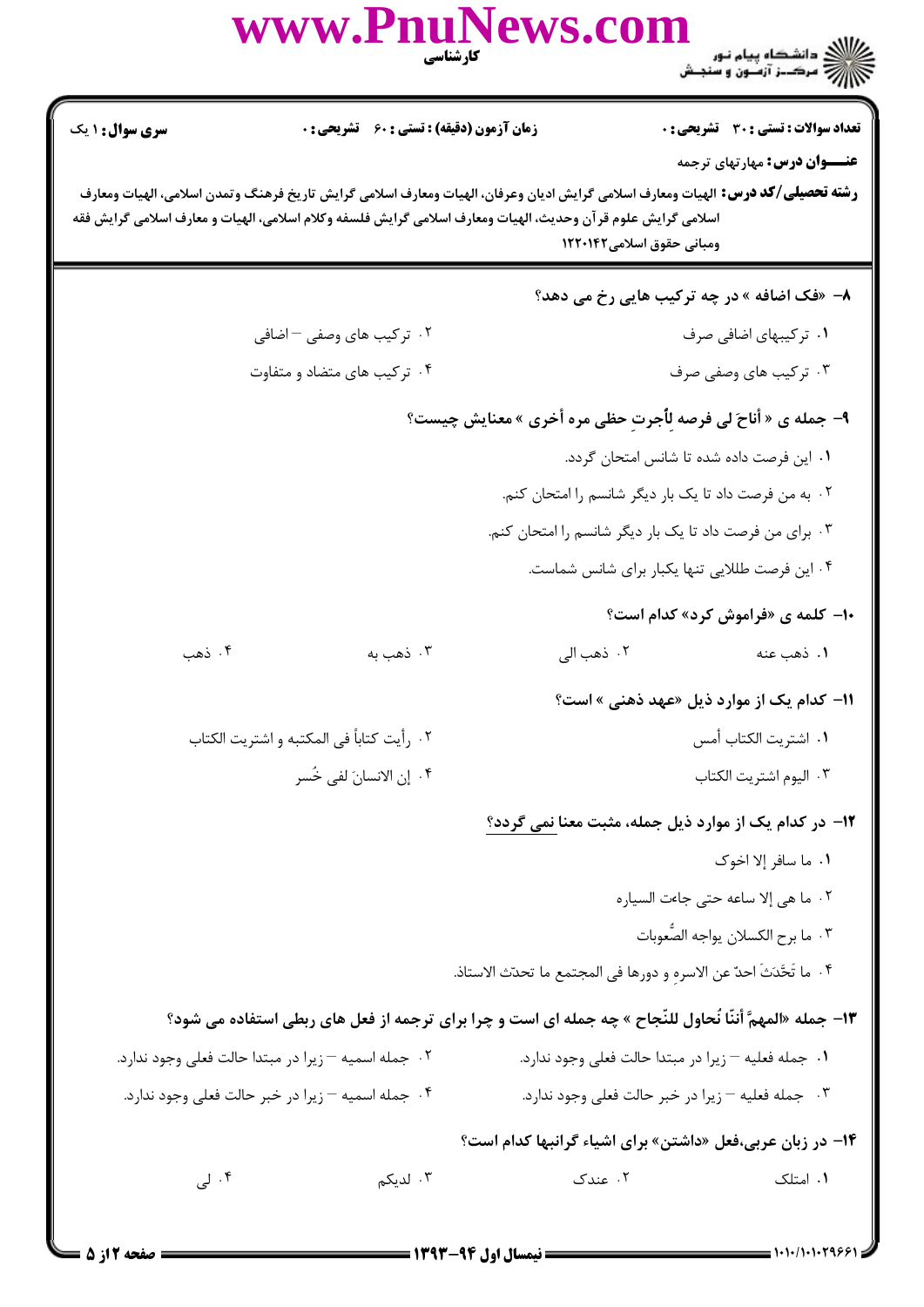|                                                                                                                                                                                                                                                                                                                            | www.PnuNews.com                                     | كارشناسي               |                                                                                                          |  |  |
|----------------------------------------------------------------------------------------------------------------------------------------------------------------------------------------------------------------------------------------------------------------------------------------------------------------------------|-----------------------------------------------------|------------------------|----------------------------------------------------------------------------------------------------------|--|--|
| <b>سری سوال : ۱ یک</b>                                                                                                                                                                                                                                                                                                     | <b>زمان آزمون (دقیقه) : تستی : 60 ٪ تشریحی : 0</b>  |                        | تعداد سوالات : تستي : 30 - تشريحي : 0                                                                    |  |  |
| <b>عنـــوان درس:</b> مهارتهای ترجمه<br><b>رشته تحصیلی/کد درس:</b> الهیات ومعارف اسلامی گرایش ادیان وعرفان، الهیات ومعارف اسلامی گرایش تاریخ فرهنگ وتمدن اسلامی، الهیات ومعارف<br>اسلامی گرایش علوم قرآن وحدیث، الهیات ومعارف اسلامی گرایش فلسفه وکلام اسلامی، الهیات و معارف اسلامی گرایش فقه<br>ومبانی حقوق اسلامی۱۲۲۰۱۴۲ |                                                     |                        |                                                                                                          |  |  |
|                                                                                                                                                                                                                                                                                                                            |                                                     |                        | ۸- «فک اضافه » در چه ترکیب هایی رخ می دهد؟                                                               |  |  |
|                                                                                                                                                                                                                                                                                                                            | ۰۲ ترکیب های وصفی – اضافی                           |                        | ۰۱ ترکیبهای اضافی صرف                                                                                    |  |  |
|                                                                                                                                                                                                                                                                                                                            | ۰۴ ترکیب های متضاد و متفاوت                         |                        | ۰۳ ترکیب های وصفی صرف                                                                                    |  |  |
| ۹- جمله ی « أناحَ لی فرصه لِأُجرتِ حظی مره أخری » معنایش چیست؟                                                                                                                                                                                                                                                             |                                                     |                        |                                                                                                          |  |  |
|                                                                                                                                                                                                                                                                                                                            |                                                     |                        | ٠١. اين فرصت داده شده تا شانس امتحان گردد.                                                               |  |  |
|                                                                                                                                                                                                                                                                                                                            |                                                     |                        | ۰۲ به من فرصت داد تا یک بار دیگر شانسم را امتحان کنم.                                                    |  |  |
|                                                                                                                                                                                                                                                                                                                            |                                                     |                        | ۰۳ برای من فرصت داد تا یک بار دیگر شانسم را امتحان کنم.                                                  |  |  |
|                                                                                                                                                                                                                                                                                                                            |                                                     |                        | ۰۴ این فرصت طللایی تنها یکبار برای شانس شماست.                                                           |  |  |
|                                                                                                                                                                                                                                                                                                                            |                                                     |                        | <b>۱۰</b> - کلمه ی «فراموش کرد» کدام است؟                                                                |  |  |
| ۰۴ ذهب                                                                                                                                                                                                                                                                                                                     | ۰۳ ذهب به                                           | ۰۲ ذهب الی             | ۱. ذهب عنه                                                                                               |  |  |
|                                                                                                                                                                                                                                                                                                                            |                                                     |                        | 11- کدام یک از موارد ذیل «عهد ذهنی » است؟                                                                |  |  |
|                                                                                                                                                                                                                                                                                                                            | ٠٢ رأيت كتاباً في المكتبه و اشتريت الكتاب           | ٠١. اشتريت الكتاب أمس  |                                                                                                          |  |  |
| ۰۴ إن الانسانَ لفي خُسر                                                                                                                                                                                                                                                                                                    |                                                     | ٠٣ اليوم اشتريت الكتاب |                                                                                                          |  |  |
|                                                                                                                                                                                                                                                                                                                            |                                                     |                        | ۱۲- در کدام یک از موارد ذیل جمله، مثبت معنا نمی گردد؟                                                    |  |  |
|                                                                                                                                                                                                                                                                                                                            |                                                     |                        | ٠١. ما سافر إلا اخوك                                                                                     |  |  |
|                                                                                                                                                                                                                                                                                                                            |                                                     |                        | ٠٢ ما هي إلا ساعه حتى جاءت السياره                                                                       |  |  |
|                                                                                                                                                                                                                                                                                                                            |                                                     |                        | ٠٣ ما برح الكسلان يواجه الصَّعوبات                                                                       |  |  |
|                                                                                                                                                                                                                                                                                                                            |                                                     |                        | ۰۴ ما تَحَّدَثَ احدٌ عن الاسرهِ و دورها في المجتمع ما تحدّث الاستاذ.                                     |  |  |
|                                                                                                                                                                                                                                                                                                                            |                                                     |                        | ۱۳- جمله «المهمَّ أننّا نُحاول للنّجاح » چه جمله ای است و چرا برای ترجمه از فعل های ربطی استفاده می شود؟ |  |  |
|                                                                                                                                                                                                                                                                                                                            | ۰۲ جمله اسمیه – زیرا در مبتدا حالت فعلی وجود ندارد. |                        | ٠١. جمله فعليه - زيرا در مبتدا حالت فعلى وجود ندارد.                                                     |  |  |
|                                                                                                                                                                                                                                                                                                                            | ۰۴ جمله اسمیه – زیرا در خبر حالت فعلی وجود ندارد.   |                        | ۰۳ جمله فعلیه – زیرا در خبر حالت فعلی وجود ندارد.                                                        |  |  |
|                                                                                                                                                                                                                                                                                                                            |                                                     |                        | ۱۴- در زبان عربی،فعل «داشتن» برای اشیاء گرانبها کدام است؟                                                |  |  |
| ۰۴ لی                                                                                                                                                                                                                                                                                                                      | ۰۳ لدیکم                                            | ۰۲ عندک                | ۰۱ امتلک                                                                                                 |  |  |
|                                                                                                                                                                                                                                                                                                                            |                                                     |                        |                                                                                                          |  |  |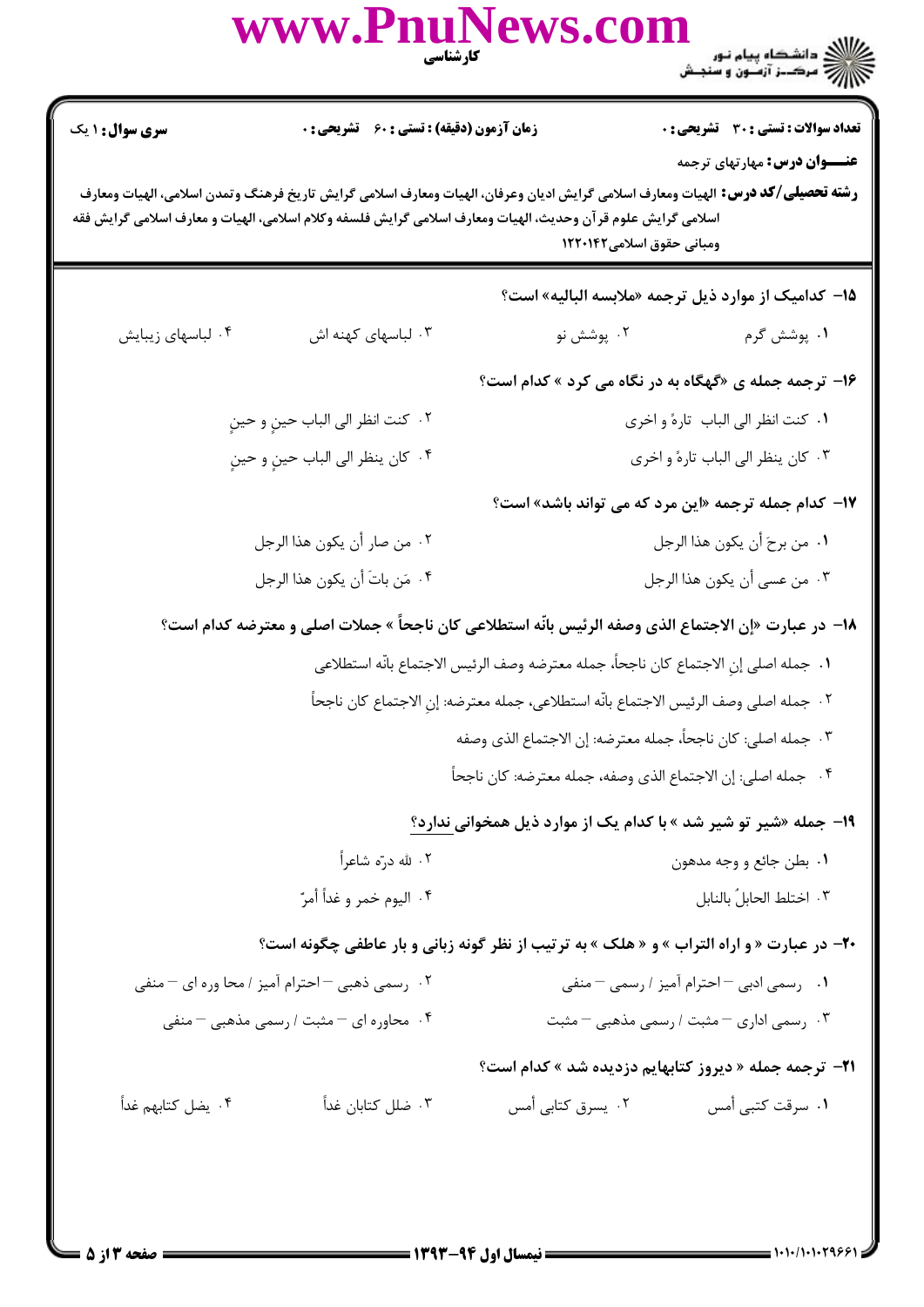|                        | www.PnuNews.com                                                                                                                                                                                                                                        | <b>کارشناسی تنگ</b>                                                                   | ے :<br>حکالات دانشگاہ پیام نور<br>حکالات مرکبز آزمیوں و سنجش                         |
|------------------------|--------------------------------------------------------------------------------------------------------------------------------------------------------------------------------------------------------------------------------------------------------|---------------------------------------------------------------------------------------|--------------------------------------------------------------------------------------|
| <b>سری سوال : ۱ یک</b> | زمان آزمون (دقیقه) : تستی : 60 ٪ تشریحی : 0                                                                                                                                                                                                            |                                                                                       | <b>تعداد سوالات : تستی : 30 ٪ تشریحی : 0</b><br><b>عنــــوان درس:</b> مهارتهای ترجمه |
|                        | <b>رشته تحصیلی/کد درس:</b> الهیات ومعارف اسلامی گرایش ادیان وعرفان، الهیات ومعارف اسلامی گرایش تاریخ فرهنگ وتمدن اسلامی، الهیات ومعارف<br>اسلامی گرایش علوم قرآن وحدیث، الهیات ومعارف اسلامی گرایش فلسفه وکلام اسلامی، الهیات و معارف اسلامی گرایش فقه | ومبانی حقوق اسلامی۱۲۲۰۱۴۲                                                             |                                                                                      |
|                        |                                                                                                                                                                                                                                                        | 1۵– کدامیک از موارد ذیل ترجمه «ملابسه البالیه» است؟                                   |                                                                                      |
| ۰۴ لباسهای زیبایش      | ۰۳ لباسهای کهنه اش                                                                                                                                                                                                                                     | ۰۲ پوشش نو                                                                            | ۰۱ پوشش گرم                                                                          |
|                        |                                                                                                                                                                                                                                                        | ۱۶- ترجمه جمله ی «گهگاه به در نگاه می کرد » کدام است؟                                 |                                                                                      |
|                        | ٢.  كنت انظر الى الباب حينٍ و حينٍ                                                                                                                                                                                                                     |                                                                                       | ٠١. كنت انظر الى الباب تارهً و اخرى                                                  |
|                        | ۰۴ کان ينظر الى الباب حينٍ و حينٍ                                                                                                                                                                                                                      |                                                                                       | ۰۳ کان ينظر الى الباب تارهً و اخرى                                                   |
|                        |                                                                                                                                                                                                                                                        | ۱۷- کدام جمله ترجمه «این مرد که می تواند باشد» است؟                                   |                                                                                      |
|                        | ٢. من صار أن يكون هذا الرجل                                                                                                                                                                                                                            | ٠١ من برحَ أن يكون هذا الرجل                                                          |                                                                                      |
|                        | ۰۴ مَن باتَ أن يكون هذا الرجل                                                                                                                                                                                                                          |                                                                                       | ٠٣ من عسى أن يكون هذا الرجل                                                          |
|                        | ١٨– در عبارت «إن الاجتماع الذي وصفه الرئيس بانَّه استطلاعي كان ناجحاً » جملات اصلى و معترضه كدام است؟                                                                                                                                                  |                                                                                       |                                                                                      |
|                        |                                                                                                                                                                                                                                                        | ١.  جمله اصلى إنِ الاجتماع كان ناجحاً، جمله معترضه وصف الرئيس الاجتماع بانّه استطلاعى |                                                                                      |
|                        | ٢.  جمله اصلى وصف الرئيس الاجتماع بانّه استطلاعى، جمله معترضه: إن الاجتماع كان ناجحاً                                                                                                                                                                  |                                                                                       |                                                                                      |
|                        |                                                                                                                                                                                                                                                        | ٠٣ جمله اصلي: كان ناجحاً، جمله معترضه: إن الاجتماع الذي وصفه                          |                                                                                      |
|                        |                                                                                                                                                                                                                                                        | ۰۴ جمله اصلي: إن الاجتماع الذى وصفه، جمله معترضه: كان ناجحاً                          |                                                                                      |
|                        |                                                                                                                                                                                                                                                        | ۱۹- جمله «شیر تو شیر شد » با کدام یک از موارد ذیل همخوانی ندارد؟                      |                                                                                      |
|                        | ۰۲ لله درّه شاعراً                                                                                                                                                                                                                                     | ۰۱ بطن جائع و وجه مدهون                                                               |                                                                                      |
|                        | ۰۴ اليوم خمر و غداً أمرّ                                                                                                                                                                                                                               |                                                                                       | ٠٣ اختلط الحابلُ بالنابل                                                             |
|                        | <b>۲۰</b> - در عبارت « و اراه التراب » و « هلک » به ترتیب از نظر گونه زبانی و بار عاطفی چگونه است؟                                                                                                                                                     |                                                                                       |                                                                                      |
|                        | ۰۲ رسمی ذهبی – احترام آمیز / محا وره ای – منفی                                                                                                                                                                                                         | ۰۱ رسمی ادبی – احترام آمیز / رسمی – منفی                                              |                                                                                      |
|                        | ۰۴ محاوره ای <sup>—</sup> مثبت / رسمی مذهبی <sup>—</sup> منفی                                                                                                                                                                                          |                                                                                       | ۰۳ رسمی اداری <sup>—</sup> مثبت / رسمی مذهبی <sup>—</sup> مثبت                       |
|                        |                                                                                                                                                                                                                                                        | <b>۲۱</b> - ترجمه جمله « دیروز کتابهایم دزدیده شد » کدام است؟                         |                                                                                      |
| ۰۴ یضل کتابهم غداً     | ۰۳ ضلل کتابان غداً                                                                                                                                                                                                                                     | ۰۲ يسرق كتابي أمس                                                                     | ٠١. سرقت كتبي أمس                                                                    |
|                        |                                                                                                                                                                                                                                                        |                                                                                       |                                                                                      |
|                        |                                                                                                                                                                                                                                                        |                                                                                       |                                                                                      |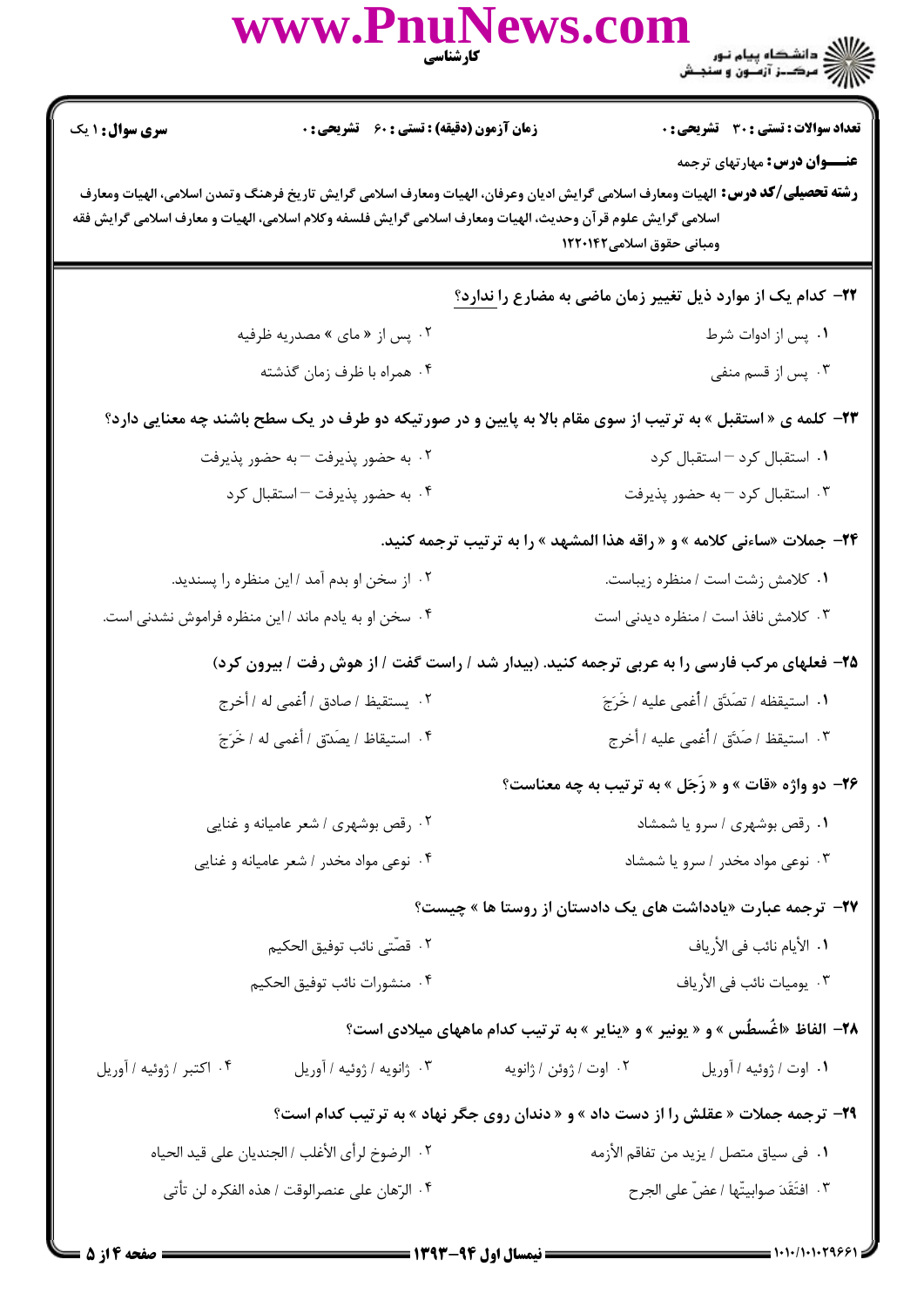|                                                                                                                                                                                                                                                                                                                             | WWW.PnuNews.com                                                                             |                                        | ے :<br>حکالات دانشگاہ پیام نور<br>حکالات مرکز آزمنوں و سنجش                          |  |  |
|-----------------------------------------------------------------------------------------------------------------------------------------------------------------------------------------------------------------------------------------------------------------------------------------------------------------------------|---------------------------------------------------------------------------------------------|----------------------------------------|--------------------------------------------------------------------------------------|--|--|
| <b>سری سوال : ۱ یک</b>                                                                                                                                                                                                                                                                                                      | <b>زمان آزمون (دقیقه) : تستی : 60 گشریحی : 0</b>                                            |                                        | تعداد سوالات : تستي : 30 - تشريحي : 0                                                |  |  |
| <b>عنــــوان درس:</b> مهارتهای ترجمه<br><b>رشته تحصیلی/کد درس:</b> الهیات ومعارف اسلامی گرایش ادیان وعرفان، الهیات ومعارف اسلامی گرایش تاریخ فرهنگ وتمدن اسلامی، الهیات ومعارف<br>اسلامی گرایش علوم قرآن وحدیث، الهیات ومعارف اسلامی گرایش فلسفه وکلام اسلامی، الهیات و معارف اسلامی گرایش فقه<br>ومبانی حقوق اسلامی۱۲۲۰۱۴۲ |                                                                                             |                                        |                                                                                      |  |  |
|                                                                                                                                                                                                                                                                                                                             |                                                                                             |                                        | <b>۲۲</b> - کدام یک از موارد ذیل تغییر زمان ماضی به مضارع را ندارد؟                  |  |  |
|                                                                                                                                                                                                                                                                                                                             | ۰۲ پس از « مای » مصدریه ظرفیه                                                               |                                        | ٠١. پس از ادوات شرط                                                                  |  |  |
|                                                                                                                                                                                                                                                                                                                             | ۰۴ همراه با ظرف زمان گذشته                                                                  |                                        | ۰۳ پس از قسم منفی                                                                    |  |  |
| <b>۲۳</b> - کلمه ی « استقبل » به ترتیب از سوی مقام بالا به پایین و در صورتیکه دو طرف در یک سطح باشند چه معنایی دارد؟                                                                                                                                                                                                        |                                                                                             |                                        |                                                                                      |  |  |
| ۰۲ به حضور پذیرفت – به حضور پذیرفت                                                                                                                                                                                                                                                                                          |                                                                                             | ٠١ استقبال كرد - استقبال كرد           |                                                                                      |  |  |
|                                                                                                                                                                                                                                                                                                                             | ۰۴ به حضور پذیرفت - استقبال کرد                                                             |                                        | ۰۳ استقبال کرد – به حضور پذیرفت                                                      |  |  |
|                                                                                                                                                                                                                                                                                                                             |                                                                                             |                                        | <b>34-</b> جملات «ساءنی کلامه » و « راقه هذا المشهد » را به ترتیب ترجمه کنید.        |  |  |
|                                                                                                                                                                                                                                                                                                                             | ۰۲ از سخن او بدم آمد /این منظره را پسندید.                                                  |                                        | ٠١ كلامش زشت است / منظره زيباست.                                                     |  |  |
|                                                                                                                                                                                                                                                                                                                             | ۰۴ سخن او به یادم ماند / این منظره فراموش نشدنی است.                                        |                                        | ۰۳ کلامش نافذ است / منظره دیدنی است                                                  |  |  |
|                                                                                                                                                                                                                                                                                                                             | ۲۵- فعلهای مرکب فارسی را به عربی ترجمه کنید. (بیدار شد / راست گفت / از هوش رفت / بیرون کرد) |                                        |                                                                                      |  |  |
|                                                                                                                                                                                                                                                                                                                             |                                                                                             |                                        |                                                                                      |  |  |
|                                                                                                                                                                                                                                                                                                                             | ۴. استيقاظ / يصَدّق / أغمى له / خَرَجَ                                                      |                                        | ۰۳ استيقظ <i>ا</i> صَدَّق / أُغمى عليه / أخرج                                        |  |  |
|                                                                                                                                                                                                                                                                                                                             |                                                                                             |                                        | ۲۶- دو واژه «قات » و « زَجَل » به ترتیب به چه معناست؟                                |  |  |
| ۰۲ رقص بوشهری / شعر عامیانه و غنایی                                                                                                                                                                                                                                                                                         |                                                                                             | ۰۱ رقص بوشهری / سرو یا شمشاد           |                                                                                      |  |  |
|                                                                                                                                                                                                                                                                                                                             | ۰۴ نوعی مواد مخدر / شعر عامیانه و غنایی                                                     | ۰۳ نوعی مواد مخدر / سرو یا شمشاد       |                                                                                      |  |  |
|                                                                                                                                                                                                                                                                                                                             |                                                                                             |                                        | <b>۲۷</b> – ترجمه عبارت «یادداشت های یک دادستان از روستا ها » چیست؟                  |  |  |
|                                                                                                                                                                                                                                                                                                                             | ٢. قصّتى نائب توفيق الحكيم                                                                  | 1. الأيام نائب في الأرياف              |                                                                                      |  |  |
|                                                                                                                                                                                                                                                                                                                             | ۴. منشورات نائب توفيق الحكيم                                                                |                                        | ٠٣ يوميات نائب في الأرياف                                                            |  |  |
|                                                                                                                                                                                                                                                                                                                             |                                                                                             |                                        | <b>۲۸</b> - الفاظ «اغٌسطٌس » و « یونیر » و «ینایر » به ترتیب کدام ماههای میلادی است؟ |  |  |
| ۰۴ اکتبر / ژوئیه / آوریل                                                                                                                                                                                                                                                                                                    | ۰۳ ژانويه / ژوئيه / آوريل                                                                   | ٠٢ اوت / ژوئن / ژانويه                 | ١. اوت / ژوئيه / أوريل                                                               |  |  |
|                                                                                                                                                                                                                                                                                                                             |                                                                                             |                                        | 29- ترجمه جملات « عقلش را از دست داد » و « دندان روی جگر نهاد » به ترتیب کدام است؟   |  |  |
|                                                                                                                                                                                                                                                                                                                             | ٢. الرضوخ لرأى الأغلب / الجنديان على قيد الحياه                                             | ٠١ في سياق متصل / يزيد من تفاقم الأزمه |                                                                                      |  |  |
|                                                                                                                                                                                                                                                                                                                             | ۰۴ الرّهان على عنصرالوقت / هذه الفكره لن تأتى                                               |                                        | ٠٣ افتَقَدَ صوابيتّها / عضّ على الجرح                                                |  |  |